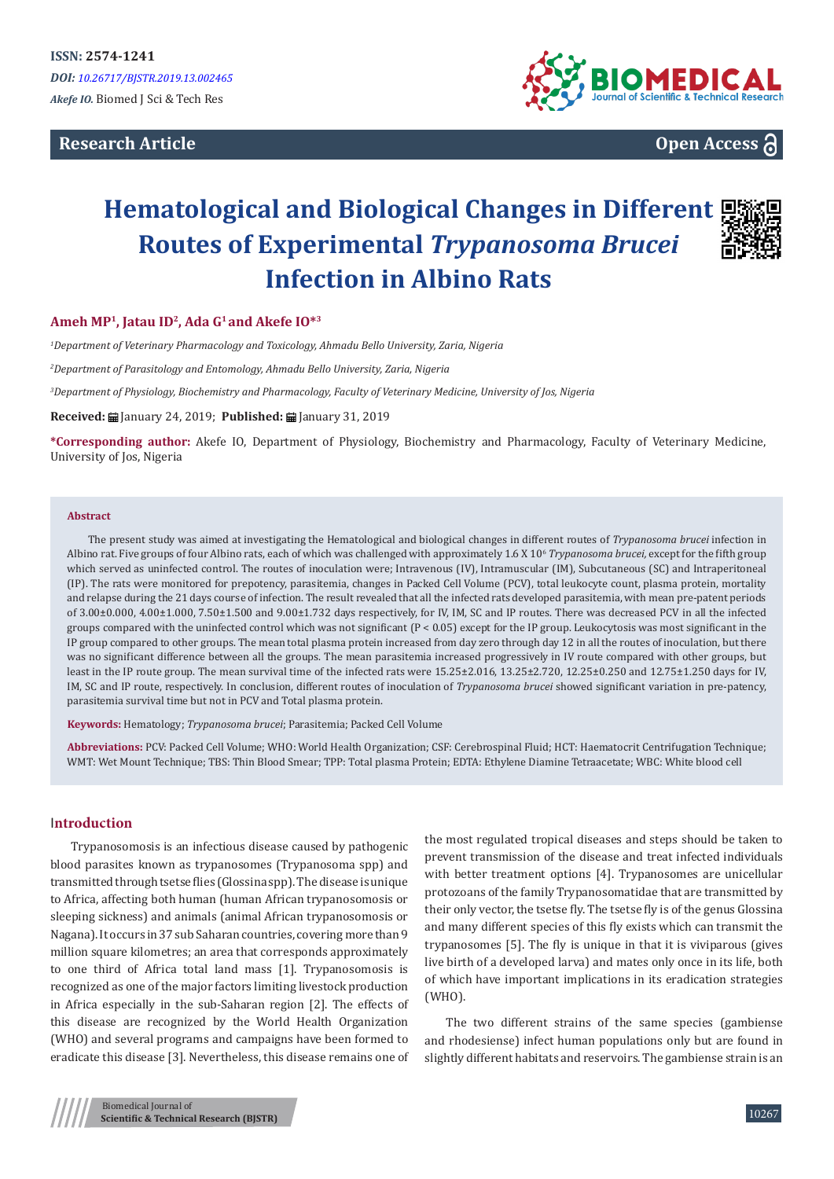# **Research Article**



**Open Access**

# **Hematological and Biological Changes in Different Routes of Experimental** *Trypanosoma Brucei* **Infection in Albino Rats**

#### **Ameh MP1, Jatau ID2, Ada G1 and Akefe IO\*<sup>3</sup>**

*1 Department of Veterinary Pharmacology and Toxicology, Ahmadu Bello University, Zaria, Nigeria* 

*2 Department of Parasitology and Entomology, Ahmadu Bello University, Zaria, Nigeria*

*3 Department of Physiology, Biochemistry and Pharmacology, Faculty of Veterinary Medicine, University of Jos, Nigeria*

**Received:** January 24, 2019; **Published:** January 31, 2019

**\*Corresponding author:** Akefe IO, Department of Physiology, Biochemistry and Pharmacology, Faculty of Veterinary Medicine, University of Jos, Nigeria

#### **Abstract**

The present study was aimed at investigating the Hematological and biological changes in different routes of *Trypanosoma brucei* infection in Albino rat. Five groups of four Albino rats, each of which was challenged with approximately 1.6 X 106 *Trypanosoma brucei,* except for the fifth group which served as uninfected control. The routes of inoculation were; Intravenous (IV), Intramuscular (IM), Subcutaneous (SC) and Intraperitoneal (IP). The rats were monitored for prepotency, parasitemia, changes in Packed Cell Volume (PCV), total leukocyte count, plasma protein, mortality and relapse during the 21 days course of infection. The result revealed that all the infected rats developed parasitemia, with mean pre-patent periods of 3.00±0.000, 4.00±1.000, 7.50±1.500 and 9.00±1.732 days respectively, for IV, IM, SC and IP routes. There was decreased PCV in all the infected groups compared with the uninfected control which was not significant (P < 0.05) except for the IP group. Leukocytosis was most significant in the IP group compared to other groups. The mean total plasma protein increased from day zero through day 12 in all the routes of inoculation, but there was no significant difference between all the groups. The mean parasitemia increased progressively in IV route compared with other groups, but least in the IP route group. The mean survival time of the infected rats were 15.25±2.016, 13.25±2.720, 12.25±0.250 and 12.75±1.250 days for IV, IM, SC and IP route, respectively. In conclusion, different routes of inoculation of *Trypanosoma brucei* showed significant variation in pre-patency, parasitemia survival time but not in PCV and Total plasma protein.

**Keywords:** Hematology; *Trypanosoma brucei*; Parasitemia; Packed Cell Volume

**Abbreviations:** PCV: Packed Cell Volume; WHO: World Health Organization; CSF: Cerebrospinal Fluid; HCT: Haematocrit Centrifugation Technique; WMT: Wet Mount Technique; TBS: Thin Blood Smear; TPP: Total plasma Protein; EDTA: Ethylene Diamine Tetraacetate; WBC: White blood cell

## I**ntroduction**

Trypanosomosis is an infectious disease caused by pathogenic blood parasites known as trypanosomes (Trypanosoma spp) and transmitted through tsetse flies (Glossina spp). The disease is unique to Africa, affecting both human (human African trypanosomosis or sleeping sickness) and animals (animal African trypanosomosis or Nagana). It occurs in 37 sub Saharan countries, covering more than 9 million square kilometres; an area that corresponds approximately to one third of Africa total land mass [1]. Trypanosomosis is recognized as one of the major factors limiting livestock production in Africa especially in the sub-Saharan region [2]. The effects of this disease are recognized by the World Health Organization (WHO) and several programs and campaigns have been formed to eradicate this disease [3]. Nevertheless, this disease remains one of the most regulated tropical diseases and steps should be taken to prevent transmission of the disease and treat infected individuals with better treatment options [4]. Trypanosomes are unicellular protozoans of the family Trypanosomatidae that are transmitted by their only vector, the tsetse fly. The tsetse fly is of the genus Glossina and many different species of this fly exists which can transmit the trypanosomes [5]. The fly is unique in that it is viviparous (gives live birth of a developed larva) and mates only once in its life, both of which have important implications in its eradication strategies (WHO).

The two different strains of the same species (gambiense and rhodesiense) infect human populations only but are found in slightly different habitats and reservoirs. The gambiense strain is an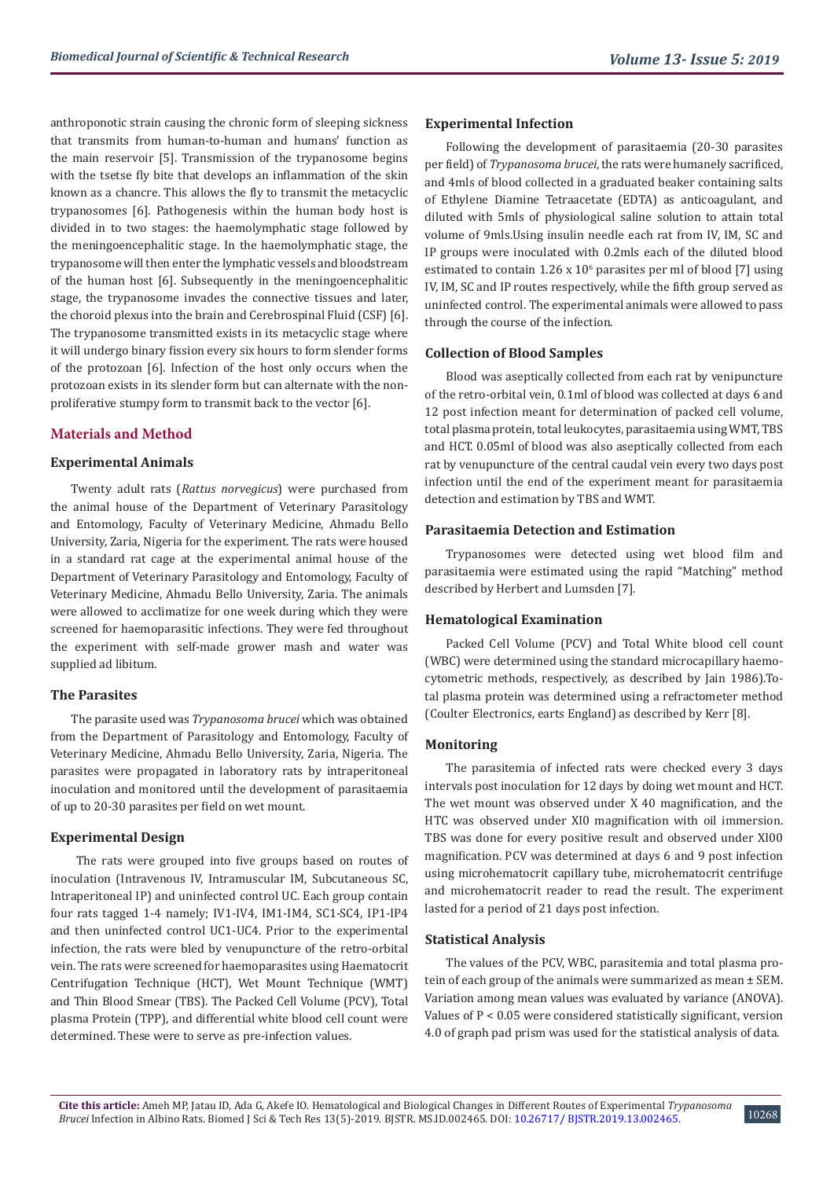anthroponotic strain causing the chronic form of sleeping sickness that transmits from human-to-human and humans' function as the main reservoir [5]. Transmission of the trypanosome begins with the tsetse fly bite that develops an inflammation of the skin known as a chancre. This allows the fly to transmit the metacyclic trypanosomes [6]. Pathogenesis within the human body host is divided in to two stages: the haemolymphatic stage followed by the meningoencephalitic stage. In the haemolymphatic stage, the trypanosome will then enter the lymphatic vessels and bloodstream of the human host [6]. Subsequently in the meningoencephalitic stage, the trypanosome invades the connective tissues and later, the choroid plexus into the brain and Cerebrospinal Fluid (CSF) [6]. The trypanosome transmitted exists in its metacyclic stage where it will undergo binary fission every six hours to form slender forms of the protozoan [6]. Infection of the host only occurs when the protozoan exists in its slender form but can alternate with the nonproliferative stumpy form to transmit back to the vector [6].

# **Materials and Method**

## **Experimental Animals**

Twenty adult rats (*Rattus norvegicus*) were purchased from the animal house of the Department of Veterinary Parasitology and Entomology, Faculty of Veterinary Medicine, Ahmadu Bello University, Zaria, Nigeria for the experiment. The rats were housed in a standard rat cage at the experimental animal house of the Department of Veterinary Parasitology and Entomology, Faculty of Veterinary Medicine, Ahmadu Bello University, Zaria. The animals were allowed to acclimatize for one week during which they were screened for haemoparasitic infections. They were fed throughout the experiment with self-made grower mash and water was supplied ad libitum.

## **The Parasites**

The parasite used was *Trypanosoma brucei* which was obtained from the Department of Parasitology and Entomology, Faculty of Veterinary Medicine, Ahmadu Bello University, Zaria, Nigeria. The parasites were propagated in laboratory rats by intraperitoneal inoculation and monitored until the development of parasitaemia of up to 20-30 parasites per field on wet mount.

#### **Experimental Design**

 The rats were grouped into five groups based on routes of inoculation (Intravenous IV, Intramuscular IM, Subcutaneous SC, Intraperitoneal IP) and uninfected control UC. Each group contain four rats tagged 1-4 namely; IV1-IV4, IM1-IM4, SC1-SC4, IP1-IP4 and then uninfected control UC1-UC4. Prior to the experimental infection, the rats were bled by venupuncture of the retro-orbital vein. The rats were screened for haemoparasites using Haematocrit Centrifugation Technique (HCT), Wet Mount Technique (WMT) and Thin Blood Smear (TBS). The Packed Cell Volume (PCV), Total plasma Protein (TPP), and differential white blood cell count were determined. These were to serve as pre-infection values.

## **Experimental Infection**

Following the development of parasitaemia (20-30 parasites per field) of *Trypanosoma brucei*, the rats were humanely sacrificed, and 4mls of blood collected in a graduated beaker containing salts of Ethylene Diamine Tetraacetate (EDTA) as anticoagulant, and diluted with 5mls of physiological saline solution to attain total volume of 9mls.Using insulin needle each rat from IV, IM, SC and IP groups were inoculated with 0.2mls each of the diluted blood estimated to contain  $1.26 \times 10^6$  parasites per ml of blood [7] using IV, IM, SC and IP routes respectively, while the fifth group served as uninfected control. The experimental animals were allowed to pass through the course of the infection.

## **Collection of Blood Samples**

Blood was aseptically collected from each rat by venipuncture of the retro-orbital vein, 0.1ml of blood was collected at days 6 and 12 post infection meant for determination of packed cell volume, total plasma protein, total leukocytes, parasitaemia using WMT, TBS and HCT. 0.05ml of blood was also aseptically collected from each rat by venupuncture of the central caudal vein every two days post infection until the end of the experiment meant for parasitaemia detection and estimation by TBS and WMT.

# **Parasitaemia Detection and Estimation**

Trypanosomes were detected using wet blood film and parasitaemia were estimated using the rapid "Matching" method described by Herbert and Lumsden [7].

#### **Hematological Examination**

Packed Cell Volume (PCV) and Total White blood cell count (WBC) were determined using the standard microcapillary haemocytometric methods, respectively, as described by Jain 1986).Total plasma protein was determined using a refractometer method (Coulter Electronics, earts England) as described by Kerr [8].

#### **Monitoring**

The parasitemia of infected rats were checked every 3 days intervals post inoculation for 12 days by doing wet mount and HCT. The wet mount was observed under X 40 magnification, and the HTC was observed under XI0 magnification with oil immersion. TBS was done for every positive result and observed under XI00 magnification. PCV was determined at days 6 and 9 post infection using microhematocrit capillary tube, microhematocrit centrifuge and microhematocrit reader to read the result. The experiment lasted for a period of 21 days post infection.

#### **Statistical Analysis**

The values of the PCV, WBC, parasitemia and total plasma protein of each group of the animals were summarized as mean ± SEM. Variation among mean values was evaluated by variance (ANOVA). Values of P < 0.05 were considered statistically significant, version 4.0 of graph pad prism was used for the statistical analysis of data.

10268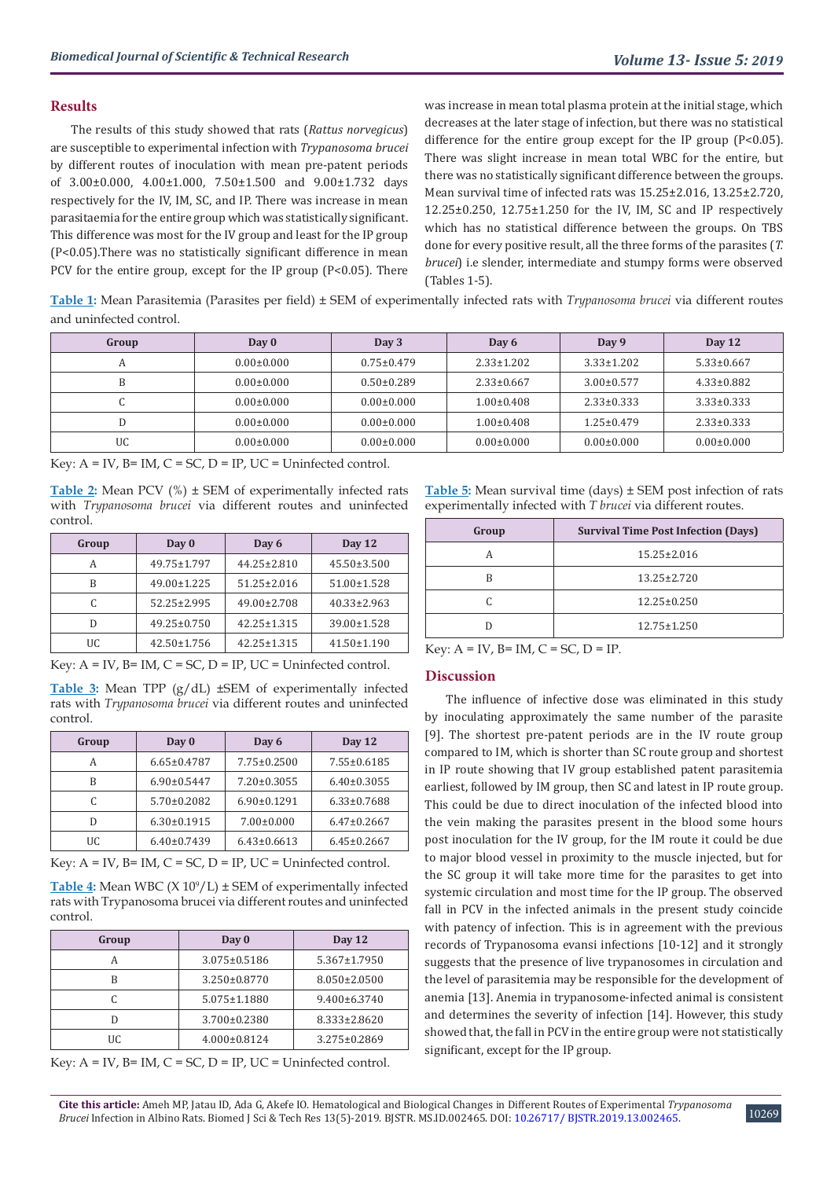## **Results**

The results of this study showed that rats (*Rattus norvegicus*) are susceptible to experimental infection with *Trypanosoma brucei* by different routes of inoculation with mean pre-patent periods of 3.00±0.000, 4.00±1.000, 7.50±1.500 and 9.00±1.732 days respectively for the IV, IM, SC, and IP. There was increase in mean parasitaemia for the entire group which was statistically significant. This difference was most for the IV group and least for the IP group (P<0.05).There was no statistically significant difference in mean PCV for the entire group, except for the IP group (P<0.05). There

was increase in mean total plasma protein at the initial stage, which decreases at the later stage of infection, but there was no statistical difference for the entire group except for the IP group (P<0.05). There was slight increase in mean total WBC for the entire, but there was no statistically significant difference between the groups. Mean survival time of infected rats was 15.25±2.016, 13.25±2.720, 12.25±0.250, 12.75±1.250 for the IV, IM, SC and IP respectively which has no statistical difference between the groups. On TBS done for every positive result, all the three forms of the parasites (*T. brucei*) i.e slender, intermediate and stumpy forms were observed (Tables 1-5).

**Table 1:** Mean Parasitemia (Parasites per field) ± SEM of experimentally infected rats with *Trypanosoma brucei* via different routes and uninfected control.

| Group | Day 0            | Day 3            | Day 6            | Day 9            | Day 12           |
|-------|------------------|------------------|------------------|------------------|------------------|
|       | $0.00 \pm 0.000$ | $0.75 \pm 0.479$ | $2.33 \pm 1.202$ | $3.33 \pm 1.202$ | $5.33 \pm 0.667$ |
| B     | $0.00 \pm 0.000$ | $0.50 \pm 0.289$ | $2.33 \pm 0.667$ | $3.00 \pm 0.577$ | $4.33 \pm 0.882$ |
| ◡     | $0.00 \pm 0.000$ | $0.00 \pm 0.000$ | $1.00 \pm 0.408$ | $2.33 \pm 0.333$ | $3.33 \pm 0.333$ |
|       | $0.00 \pm 0.000$ | $0.00 \pm 0.000$ | $1.00 \pm 0.408$ | $1.25 \pm 0.479$ | $2.33 \pm 0.333$ |
| UC    | $0.00 \pm 0.000$ | $0.00 \pm 0.000$ | $0.00 \pm 0.000$ | $0.00 \pm 0.000$ | $0.00 \pm 0.000$ |

Key:  $A = IV$ ,  $B = IM$ ,  $C = SC$ ,  $D = IP$ ,  $UC = Uninfected control$ .

**Table 2:** Mean PCV (%) ± SEM of experimentally infected rats with *Trypanosoma brucei* via different routes and uninfected control.

| Group | Day 0             | Day 6             | Day 12            |
|-------|-------------------|-------------------|-------------------|
| А     | 49.75±1.797       | $44.25 \pm 2.810$ | $45.50 \pm 3.500$ |
| R     | 49.00±1.225       | $51.25 \pm 2.016$ | 51.00±1.528       |
|       | $52.25 \pm 2.995$ | 49.00±2.708       | $40.33 \pm 2.963$ |
| D     | $49.25 \pm 0.750$ | $42.25 \pm 1.315$ | 39.00±1.528       |
| UC    | $42.50 \pm 1.756$ | $42.25 \pm 1.315$ | $41.50 \pm 1.190$ |

Key:  $A = IV$ ,  $B = IM$ ,  $C = SC$ ,  $D = IP$ ,  $UC = Uninfected control$ .

**Table 3:** Mean TPP (g/dL) ±SEM of experimentally infected rats with *Trypanosoma brucei* via different routes and uninfected control.

| Group | Day 0             | Day 6             | Day 12            |
|-------|-------------------|-------------------|-------------------|
| А     | $6.65 \pm 0.4787$ | $7.75 \pm 0.2500$ | 7.55±0.6185       |
| B     | $6.90 \pm 0.5447$ | $7.20 \pm 0.3055$ | $6.40 \pm 0.3055$ |
|       | $5.70 \pm 0.2082$ | $6.90 \pm 0.1291$ | $6.33 \pm 0.7688$ |
| D     | $6.30 \pm 0.1915$ | $7.00 \pm 0.000$  | $6.47 \pm 0.2667$ |
| UC.   | $6.40 \pm 0.7439$ | $6.43 \pm 0.6613$ | $6.45 \pm 0.2667$ |

Key:  $A = IV$ ,  $B = IM$ ,  $C = SC$ ,  $D = IP$ ,  $UC = Uninfected control$ .

**Table 4:** Mean WBC (X 10<sup>9</sup>/L) ± SEM of experimentally infected rats with Trypanosoma brucei via different routes and uninfected control.

| Group | Day 0              | Day 12             |
|-------|--------------------|--------------------|
|       | $3.075 \pm 0.5186$ | $5.367 \pm 1.7950$ |
|       | 3.250±0.8770       | $8.050 \pm 2.0500$ |
|       | $5.075 \pm 1.1880$ | $9.400 \pm 6.3740$ |
|       | 3.700±0.2380       | 8.333±2.8620       |
| UC    | $4.000 \pm 0.8124$ | $3.275 \pm 0.2869$ |

Key:  $A = IV$ ,  $B = IM$ ,  $C = SC$ ,  $D = IP$ ,  $UC = Uninfected control$ .

**Table 5:** Mean survival time (days) ± SEM post infection of rats experimentally infected with *T brucei* via different routes.

| Group | <b>Survival Time Post Infection (Days)</b> |
|-------|--------------------------------------------|
|       | $15.25 \pm 2.016$                          |
| R     | 13.25±2.720                                |
|       | $12.25 \pm 0.250$                          |
|       | $12.75 \pm 1.250$                          |

Key:  $A = IV$ ,  $B = IM$ ,  $C = SC$ ,  $D = IP$ .

#### **Discussion**

The influence of infective dose was eliminated in this study by inoculating approximately the same number of the parasite [9]. The shortest pre-patent periods are in the IV route group compared to IM, which is shorter than SC route group and shortest in IP route showing that IV group established patent parasitemia earliest, followed by IM group, then SC and latest in IP route group. This could be due to direct inoculation of the infected blood into the vein making the parasites present in the blood some hours post inoculation for the IV group, for the IM route it could be due to major blood vessel in proximity to the muscle injected, but for the SC group it will take more time for the parasites to get into systemic circulation and most time for the IP group. The observed fall in PCV in the infected animals in the present study coincide with patency of infection. This is in agreement with the previous records of Trypanosoma evansi infections [10-12] and it strongly suggests that the presence of live trypanosomes in circulation and the level of parasitemia may be responsible for the development of anemia [13]. Anemia in trypanosome-infected animal is consistent and determines the severity of infection [14]. However, this study showed that, the fall in PCV in the entire group were not statistically significant, except for the IP group.